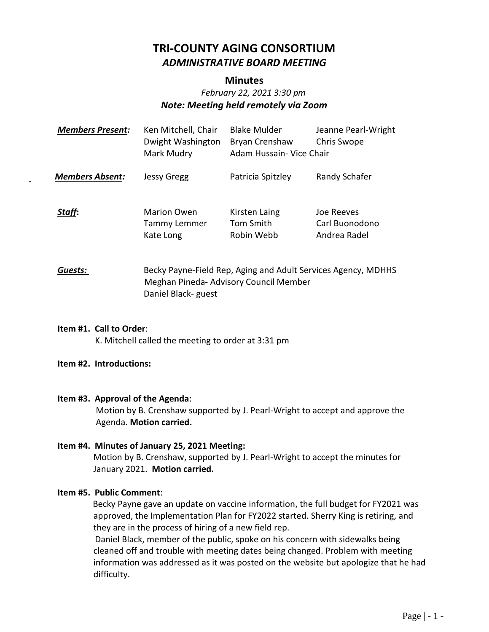# **TRI-COUNTY AGING CONSORTIUM** *ADMINISTRATIVE BOARD MEETING*

## **Minutes**

# *February 22, 2021 3:30 pm Note: Meeting held remotely via Zoom*

| <b>Members Present:</b> | Ken Mitchell, Chair<br>Dwight Washington<br>Mark Mudry | <b>Blake Mulder</b><br>Bryan Crenshaw<br>Adam Hussain- Vice Chair                                       | Jeanne Pearl-Wright<br>Chris Swope           |
|-------------------------|--------------------------------------------------------|---------------------------------------------------------------------------------------------------------|----------------------------------------------|
| <b>Members Absent:</b>  | <b>Jessy Gregg</b>                                     | Patricia Spitzley                                                                                       | Randy Schafer                                |
| Staff:                  | <b>Marion Owen</b><br>Tammy Lemmer<br>Kate Long        | Kirsten Laing<br>Tom Smith<br>Robin Webb                                                                | Joe Reeves<br>Carl Buonodono<br>Andrea Radel |
| Guests:                 | Daniel Black- guest                                    | Becky Payne-Field Rep, Aging and Adult Services Agency, MDHHS<br>Meghan Pineda- Advisory Council Member |                                              |

**Item #1. Call to Order**: K. Mitchell called the meeting to order at 3:31 pm

#### **Item #2. Introductions:**

#### **Item #3. Approval of the Agenda**:

Motion by B. Crenshaw supported by J. Pearl-Wright to accept and approve the Agenda. **Motion carried.**

#### **Item #4. Minutes of January 25, 2021 Meeting:**

Motion by B. Crenshaw, supported by J. Pearl-Wright to accept the minutes for January 2021. **Motion carried.**

# **Item #5. Public Comment**:

 Becky Payne gave an update on vaccine information, the full budget for FY2021 was approved, the Implementation Plan for FY2022 started. Sherry King is retiring, and they are in the process of hiring of a new field rep.

 Daniel Black, member of the public, spoke on his concern with sidewalks being cleaned off and trouble with meeting dates being changed. Problem with meeting information was addressed as it was posted on the website but apologize that he had difficulty.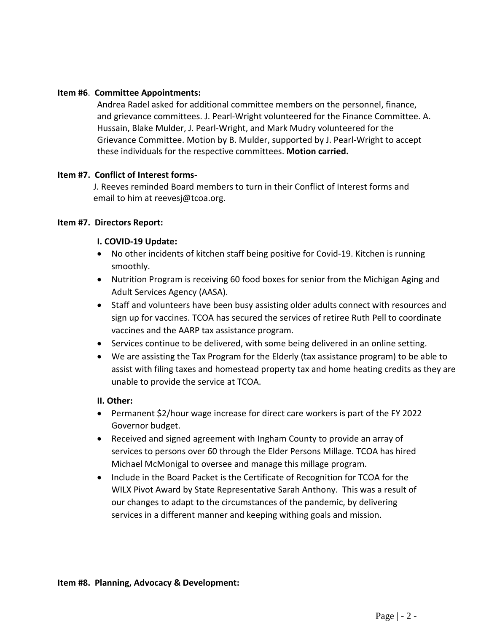#### **Item #6**. **Committee Appointments:**

Andrea Radel asked for additional committee members on the personnel, finance, and grievance committees. J. Pearl-Wright volunteered for the Finance Committee. A. Hussain, Blake Mulder, J. Pearl-Wright, and Mark Mudry volunteered for the Grievance Committee. Motion by B. Mulder, supported by J. Pearl-Wright to accept these individuals for the respective committees. **Motion carried.**

#### **Item #7. Conflict of Interest forms-**

J. Reeves reminded Board members to turn in their Conflict of Interest forms and email to him at reevesj@tcoa.org.

#### **Item #7. Directors Report:**

#### **I. COVID-19 Update:**

- No other incidents of kitchen staff being positive for Covid-19. Kitchen is running smoothly.
- Nutrition Program is receiving 60 food boxes for senior from the Michigan Aging and Adult Services Agency (AASA).
- Staff and volunteers have been busy assisting older adults connect with resources and sign up for vaccines. TCOA has secured the services of retiree Ruth Pell to coordinate vaccines and the AARP tax assistance program.
- Services continue to be delivered, with some being delivered in an online setting.
- We are assisting the Tax Program for the Elderly (tax assistance program) to be able to assist with filing taxes and homestead property tax and home heating credits as they are unable to provide the service at TCOA.

#### **II. Other:**

- Permanent \$2/hour wage increase for direct care workers is part of the FY 2022 Governor budget.
- Received and signed agreement with Ingham County to provide an array of services to persons over 60 through the Elder Persons Millage. TCOA has hired Michael McMonigal to oversee and manage this millage program.
- Include in the Board Packet is the Certificate of Recognition for TCOA for the WILX Pivot Award by State Representative Sarah Anthony. This was a result of our changes to adapt to the circumstances of the pandemic, by delivering services in a different manner and keeping withing goals and mission.

#### **Item #8. Planning, Advocacy & Development:**